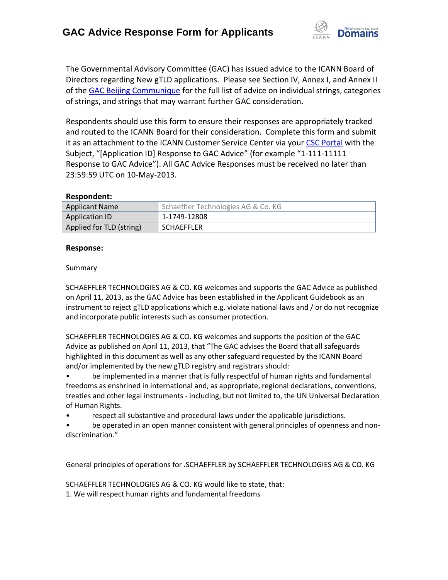

The Governmental Advisory Committee (GAC) has issued advice to the ICANN Board of Directors regarding New gTLD applications. Please see Section IV, Annex I, and Annex II of the [GAC Beijing Communique](http://www.icann.org/en/news/correspondence/gac-to-board-18apr13-en.pdf) for the full list of advice on individual strings, categories of strings, and strings that may warrant further GAC consideration.

Respondents should use this form to ensure their responses are appropriately tracked and routed to the ICANN Board for their consideration. Complete this form and submit it as an attachment to the ICANN Customer Service Center via your CSC [Portal](https://myicann.secure.force.com/) with the Subject, "[Application ID] Response to GAC Advice" (for example "1-111-11111 Response to GAC Advice"). All GAC Advice Responses must be received no later than 23:59:59 UTC on 10-May-2013.

## **Respondent:**

| <b>Applicant Name</b>    | Schaeffler Technologies AG & Co. KG |
|--------------------------|-------------------------------------|
| Application ID           | 1-1749-12808                        |
| Applied for TLD (string) | <b>SCHAEFFLER</b>                   |

## **Response:**

#### Summary

SCHAEFFLER TECHNOLOGIES AG & CO. KG welcomes and supports the GAC Advice as published on April 11, 2013, as the GAC Advice has been established in the Applicant Guidebook as an instrument to reject gTLD applications which e.g. violate national laws and / or do not recognize and incorporate public interests such as consumer protection.

SCHAEFFLER TECHNOLOGIES AG & CO. KG welcomes and supports the position of the GAC Advice as published on April 11, 2013, that "The GAC advises the Board that all safeguards highlighted in this document as well as any other safeguard requested by the ICANN Board and/or implemented by the new gTLD registry and registrars should:

• be implemented in a manner that is fully respectful of human rights and fundamental freedoms as enshrined in international and, as appropriate, regional declarations, conventions, treaties and other legal instruments - including, but not limited to, the UN Universal Declaration of Human Rights.

• respect all substantive and procedural laws under the applicable jurisdictions.

be operated in an open manner consistent with general principles of openness and nondiscrimination."

General principles of operations for .SCHAEFFLER by SCHAEFFLER TECHNOLOGIES AG & CO. KG

SCHAEFFLER TECHNOLOGIES AG & CO. KG would like to state, that:

1. We will respect human rights and fundamental freedoms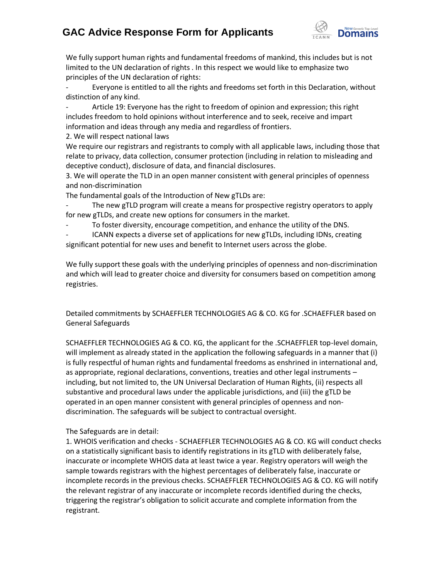# **GAC Advice Response Form for Applicants**



We fully support human rights and fundamental freedoms of mankind, this includes but is not limited to the UN declaration of rights . In this respect we would like to emphasize two principles of the UN declaration of rights:

Everyone is entitled to all the rights and freedoms set forth in this Declaration, without distinction of any kind.

Article 19: Everyone has the right to freedom of opinion and expression; this right includes freedom to hold opinions without interference and to seek, receive and impart information and ideas through any media and regardless of frontiers.

2. We will respect national laws

We require our registrars and registrants to comply with all applicable laws, including those that relate to privacy, data collection, consumer protection (including in relation to misleading and deceptive conduct), disclosure of data, and financial disclosures.

3. We will operate the TLD in an open manner consistent with general principles of openness and non‐discrimination

The fundamental goals of the Introduction of New gTLDs are:

- The new gTLD program will create a means for prospective registry operators to apply for new gTLDs, and create new options for consumers in the market.

To foster diversity, encourage competition, and enhance the utility of the DNS.

ICANN expects a diverse set of applications for new gTLDs, including IDNs, creating significant potential for new uses and benefit to Internet users across the globe.

We fully support these goals with the underlying principles of openness and non-discrimination and which will lead to greater choice and diversity for consumers based on competition among registries.

Detailed commitments by SCHAEFFLER TECHNOLOGIES AG & CO. KG for .SCHAEFFLER based on General Safeguards

SCHAEFFLER TECHNOLOGIES AG & CO. KG, the applicant for the .SCHAEFFLER top-level domain, will implement as already stated in the application the following safeguards in a manner that (i) is fully respectful of human rights and fundamental freedoms as enshrined in international and, as appropriate, regional declarations, conventions, treaties and other legal instruments – including, but not limited to, the UN Universal Declaration of Human Rights, (ii) respects all substantive and procedural laws under the applicable jurisdictions, and (iii) the gTLD be operated in an open manner consistent with general principles of openness and non‐ discrimination. The safeguards will be subject to contractual oversight.

## The Safeguards are in detail:

1. WHOIS verification and checks - SCHAEFFLER TECHNOLOGIES AG & CO. KG will conduct checks on a statistically significant basis to identify registrations in its gTLD with deliberately false, inaccurate or incomplete WHOIS data at least twice a year. Registry operators will weigh the sample towards registrars with the highest percentages of deliberately false, inaccurate or incomplete records in the previous checks. SCHAEFFLER TECHNOLOGIES AG & CO. KG will notify the relevant registrar of any inaccurate or incomplete records identified during the checks, triggering the registrar's obligation to solicit accurate and complete information from the registrant.